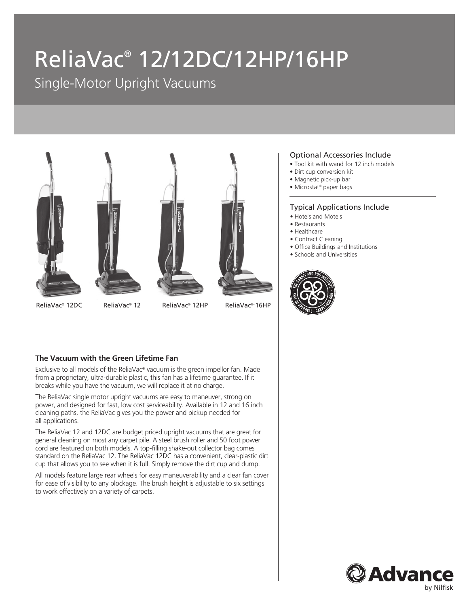# ReliaVac® 12/12DC/12HP/16HP

Single-Motor Upright Vacuums



#### Optional Accessories Include

- Tool kit with wand for 12 inch models
- Dirt cup conversion kit
- Magnetic pick-up bar
- Microstat® paper bags

#### Typical Applications Include

- Hotels and Motels
- Restaurants
- Healthcare
- Contract Cleaning
- Office Buildings and Institutions
- Schools and Universities



#### **The Vacuum with the Green Lifetime Fan**

Exclusive to all models of the ReliaVac® vacuum is the green impellor fan. Made from a proprietary, ultra-durable plastic, this fan has a lifetime guarantee. If it breaks while you have the vacuum, we will replace it at no charge.

The ReliaVac single motor upright vacuums are easy to maneuver, strong on power, and designed for fast, low cost serviceability. Available in 12 and 16 inch cleaning paths, the ReliaVac gives you the power and pickup needed for all applications.

The ReliaVac 12 and 12DC are budget priced upright vacuums that are great for general cleaning on most any carpet pile. A steel brush roller and 50 foot power cord are featured on both models. A top-filling shake-out collector bag comes standard on the ReliaVac 12. The ReliaVac 12DC has a convenient, clear-plastic dirt cup that allows you to see when it is full. Simply remove the dirt cup and dump.

All models feature large rear wheels for easy maneuverability and a clear fan cover for ease of visibility to any blockage. The brush height is adjustable to six settings to work effectively on a variety of carpets.